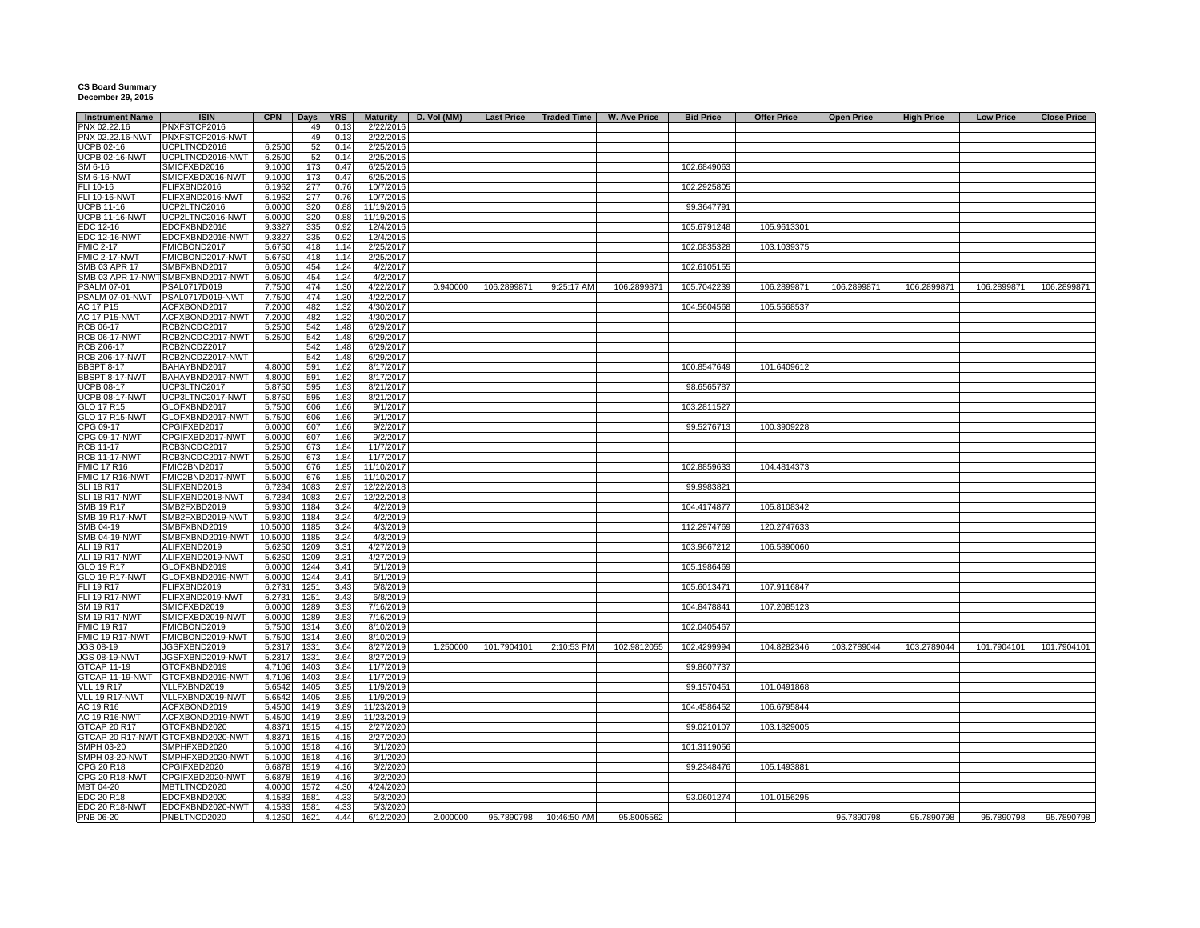## **CS Board Summary December 29, 2015**

| <b>Instrument Name</b> | <b>ISIN</b>                        | <b>CPN</b> | <b>Days</b> | <b>YRS</b> | <b>Maturity</b> | D. Vol (MM) | <b>Last Price</b> | <b>Traded Time</b> | <b>W. Ave Price</b> | <b>Bid Price</b> | <b>Offer Price</b> | <b>Open Price</b> | <b>High Price</b> | <b>Low Price</b> | <b>Close Price</b> |
|------------------------|------------------------------------|------------|-------------|------------|-----------------|-------------|-------------------|--------------------|---------------------|------------------|--------------------|-------------------|-------------------|------------------|--------------------|
| PNX 02.22.16           | PNXFSTCP2016                       |            | 49          | 0.13       | 2/22/2016       |             |                   |                    |                     |                  |                    |                   |                   |                  |                    |
| PNX 02.22.16-NWT       | PNXFSTCP2016-NWT                   |            | 49          | 0.13       | 2/22/2016       |             |                   |                    |                     |                  |                    |                   |                   |                  |                    |
| UCPB 02-16             | UCPLTNCD2016                       | 6.2500     | 52          | 0.14       | 2/25/2016       |             |                   |                    |                     |                  |                    |                   |                   |                  |                    |
| <b>UCPB 02-16-NWT</b>  | UCPLTNCD2016-NWT                   | 6.2500     | 52          | 0.14       | 2/25/2016       |             |                   |                    |                     |                  |                    |                   |                   |                  |                    |
| SM 6-16                | SMICFXBD2016                       | 9.1000     | 173         | 0.47       | 6/25/2016       |             |                   |                    |                     | 102.6849063      |                    |                   |                   |                  |                    |
| <b>SM 6-16-NWT</b>     | SMICFXBD2016-NWT                   | 9.1000     | 173         | 0.47       | 6/25/2016       |             |                   |                    |                     |                  |                    |                   |                   |                  |                    |
| FLI 10-16              | FLIFXBND2016                       | 6.1962     | 277         | 0.76       | 10/7/2016       |             |                   |                    |                     | 102.2925805      |                    |                   |                   |                  |                    |
|                        |                                    |            |             |            |                 |             |                   |                    |                     |                  |                    |                   |                   |                  |                    |
| FLI 10-16-NWT          | FLIFXBND2016-NWT                   | 6.1962     | 277         | 0.76       | 10/7/2016       |             |                   |                    |                     |                  |                    |                   |                   |                  |                    |
| UCPB 11-16             | UCP2LTNC2016                       | 6.0000     | 320         | 0.88       | 11/19/2016      |             |                   |                    |                     | 99.3647791       |                    |                   |                   |                  |                    |
| <b>UCPB 11-16-NWT</b>  | UCP2LTNC2016-NWT                   | 6.0000     | 320         | 0.88       | 11/19/2016      |             |                   |                    |                     |                  |                    |                   |                   |                  |                    |
| EDC 12-16              | EDCFXBND2016                       | 9.3327     | 335         | 0.92       | 12/4/2016       |             |                   |                    |                     | 105.6791248      | 105.9613301        |                   |                   |                  |                    |
| <b>EDC 12-16-NWT</b>   | EDCFXBND2016-NWT                   | 9.3327     | 335         | 0.92       | 12/4/2016       |             |                   |                    |                     |                  |                    |                   |                   |                  |                    |
| <b>FMIC 2-17</b>       | FMICBOND2017                       | 5.6750     | 418         | 1.14       | 2/25/2017       |             |                   |                    |                     | 102.0835328      | 103.1039375        |                   |                   |                  |                    |
| FMIC 2-17-NWT          | FMICBOND2017-NWT                   | 5.6750     | 418         | 1.14       | 2/25/2017       |             |                   |                    |                     |                  |                    |                   |                   |                  |                    |
| SMB 03 APR 17          | SMBFXBND2017                       | 6.0500     | 454         | 1.24       | 4/2/2017        |             |                   |                    |                     | 102.6105155      |                    |                   |                   |                  |                    |
|                        | SMB 03 APR 17-NWT SMBFXBND2017-NWT | 6.0500     | 454         | 1.24       | 4/2/2017        |             |                   |                    |                     |                  |                    |                   |                   |                  |                    |
| <b>PSALM 07-01</b>     | PSAL0717D019                       |            | 474         | 1.30       | 4/22/2017       | 0.940000    | 106.2899871       | 9:25:17 AM         | 106.2899871         | 105.7042239      | 106.2899871        | 106.2899871       | 106.2899871       | 106.2899871      | 106.2899871        |
|                        |                                    | 7.7500     |             |            |                 |             |                   |                    |                     |                  |                    |                   |                   |                  |                    |
| PSALM 07-01-NWT        | PSAL0717D019-NWT                   | 7.7500     | 474         | 1.30       | 4/22/2017       |             |                   |                    |                     |                  |                    |                   |                   |                  |                    |
| AC 17 P15              | ACFXBOND2017                       | 7.2000     | 482         | 1.32       | 4/30/2017       |             |                   |                    |                     | 104.5604568      | 105.5568537        |                   |                   |                  |                    |
| <b>AC 17 P15-NWT</b>   | ACFXBOND2017-NWT                   | 7.2000     | 482         | 1.32       | 4/30/2017       |             |                   |                    |                     |                  |                    |                   |                   |                  |                    |
| RCB 06-17              | RCB2NCDC2017                       | 5.2500     | 542         | 1.48       | 6/29/2017       |             |                   |                    |                     |                  |                    |                   |                   |                  |                    |
| <b>RCB 06-17-NWT</b>   | RCB2NCDC2017-NWT                   | 5.2500     | 542         | 1.48       | 6/29/2017       |             |                   |                    |                     |                  |                    |                   |                   |                  |                    |
| RCB Z06-17             | RCB2NCDZ2017                       |            | 542         | 1.48       | 6/29/2017       |             |                   |                    |                     |                  |                    |                   |                   |                  |                    |
| <b>RCB Z06-17-NWT</b>  | RCB2NCDZ2017-NWT                   |            | 542         | 1.48       | 6/29/2017       |             |                   |                    |                     |                  |                    |                   |                   |                  |                    |
| <b>BBSPT 8-17</b>      | BAHAYBND2017                       | 4.8000     | 591         | 1.62       | 8/17/2017       |             |                   |                    |                     | 100.8547649      | 101.6409612        |                   |                   |                  |                    |
| BBSPT 8-17-NWT         | BAHAYBND2017-NWT                   | 4.8000     | 591         | 1.62       | 8/17/2017       |             |                   |                    |                     |                  |                    |                   |                   |                  |                    |
|                        |                                    |            |             |            |                 |             |                   |                    |                     |                  |                    |                   |                   |                  |                    |
| <b>UCPB 08-17</b>      | UCP3LTNC2017                       | 5.8750     | 595         | 1.63       | 8/21/2017       |             |                   |                    |                     | 98.6565787       |                    |                   |                   |                  |                    |
| <b>UCPB 08-17-NWT</b>  | UCP3LTNC2017-NWT                   | 5.8750     | 595         | 1.63       | 8/21/2017       |             |                   |                    |                     |                  |                    |                   |                   |                  |                    |
| GLO 17 R15             | GLOFXBND2017                       | 5.7500     | 606         | 1.66       | 9/1/2017        |             |                   |                    |                     | 103.2811527      |                    |                   |                   |                  |                    |
| <b>GLO 17 R15-NWT</b>  | GLOFXBND2017-NWT                   | 5.7500     | 606         | 1.66       | 9/1/2017        |             |                   |                    |                     |                  |                    |                   |                   |                  |                    |
| CPG 09-17              | CPGIFXBD2017                       | 6.0000     | 607         | 1.66       | 9/2/2017        |             |                   |                    |                     | 99.5276713       | 100.3909228        |                   |                   |                  |                    |
| CPG 09-17-NWT          | CPGIFXBD2017-NWT                   | 6.0000     | 607         | 1.66       | 9/2/2017        |             |                   |                    |                     |                  |                    |                   |                   |                  |                    |
| <b>RCB 11-17</b>       | RCB3NCDC2017                       | 5.2500     | 673         | 1.84       | 11/7/2017       |             |                   |                    |                     |                  |                    |                   |                   |                  |                    |
| <b>RCB 11-17-NWT</b>   | RCB3NCDC2017-NWT                   | 5.2500     | 673         | 1.84       | 11/7/2017       |             |                   |                    |                     |                  |                    |                   |                   |                  |                    |
| <b>FMIC 17 R16</b>     | FMIC2BND2017                       | 5.5000     | 676         | 1.85       | 11/10/2017      |             |                   |                    |                     | 102.8859633      | 104.4814373        |                   |                   |                  |                    |
|                        |                                    |            |             |            |                 |             |                   |                    |                     |                  |                    |                   |                   |                  |                    |
| FMIC 17 R16-NWT        | FMIC2BND2017-NWT                   | 5.5000     | 676         | 1.85       | 11/10/2017      |             |                   |                    |                     |                  |                    |                   |                   |                  |                    |
| <b>SLI 18 R17</b>      | SLIFXBND2018                       | 6.7284     | 1083        | 2.97       | 12/22/2018      |             |                   |                    |                     | 99.9983821       |                    |                   |                   |                  |                    |
| SLI 18 R17-NWT         | SLIFXBND2018-NWT                   | 6.7284     | 1083        | 2.97       | 12/22/2018      |             |                   |                    |                     |                  |                    |                   |                   |                  |                    |
| SMB 19 R17             | SMB2FXBD2019                       | 5.9300     | 1184        | 3.24       | 4/2/2019        |             |                   |                    |                     | 104.4174877      | 105.8108342        |                   |                   |                  |                    |
| <b>SMB 19 R17-NWT</b>  | SMB2FXBD2019-NWT                   | 5.9300     | 1184        | 3.24       | 4/2/2019        |             |                   |                    |                     |                  |                    |                   |                   |                  |                    |
| SMB 04-19              | SMBFXBND2019                       | 10.5000    | 1185        | 3.24       | 4/3/2019        |             |                   |                    |                     | 112.2974769      | 120.2747633        |                   |                   |                  |                    |
| SMB 04-19-NWT          | SMBFXBND2019-NWT                   | 10.5000    | 1185        | 3.24       | 4/3/2019        |             |                   |                    |                     |                  |                    |                   |                   |                  |                    |
| ALI 19 R17             | ALIFXBND2019                       | 5.6250     | 1209        | 3.31       | 4/27/2019       |             |                   |                    |                     | 103.9667212      | 106.5890060        |                   |                   |                  |                    |
| ALI 19 R17-NWT         | ALIFXBND2019-NWT                   | 5.6250     | 1209        | 3.31       | 4/27/2019       |             |                   |                    |                     |                  |                    |                   |                   |                  |                    |
|                        |                                    |            |             |            |                 |             |                   |                    |                     |                  |                    |                   |                   |                  |                    |
| GLO 19 R17             | GLOFXBND2019                       | 6.0000     | 1244        | 3.41       | 6/1/2019        |             |                   |                    |                     | 105.1986469      |                    |                   |                   |                  |                    |
| <b>GLO 19 R17-NWT</b>  | GLOFXBND2019-NWT                   | 6.0000     | 1244        | 3.41       | 6/1/2019        |             |                   |                    |                     |                  |                    |                   |                   |                  |                    |
| FLI 19 R17             | FLIFXBND2019                       | 6.2731     | 1251        | 3.43       | 6/8/2019        |             |                   |                    |                     | 105.6013471      | 107.9116847        |                   |                   |                  |                    |
| <b>FLI 19 R17-NWT</b>  | FLIFXBND2019-NWT                   | 6.2731     | 1251        | 3.43       | 6/8/2019        |             |                   |                    |                     |                  |                    |                   |                   |                  |                    |
| SM 19 R17              | SMICFXBD2019                       | 6.0000     | 1289        | 3.53       | 7/16/2019       |             |                   |                    |                     | 104.8478841      | 107.2085123        |                   |                   |                  |                    |
| <b>SM 19 R17-NWT</b>   | SMICFXBD2019-NWT                   | 6.0000     | 1289        | 3.53       | 7/16/2019       |             |                   |                    |                     |                  |                    |                   |                   |                  |                    |
| <b>FMIC 19 R17</b>     | FMICBOND2019                       | 5.7500     | 1314        | 3.60       | 8/10/2019       |             |                   |                    |                     | 102.0405467      |                    |                   |                   |                  |                    |
| <b>FMIC 19 R17-NWT</b> | FMICBOND2019-NWT                   | 5.7500     | 1314        | 3.60       | 8/10/2019       |             |                   |                    |                     |                  |                    |                   |                   |                  |                    |
| JGS 08-19              | JGSFXBND2019                       | 5.2317     | 1331        | 3.64       | 8/27/2019       | 1.250000    | 101.7904101       | 2:10:53 PM         | 102.9812055         | 102.4299994      | 104.8282346        | 103.2789044       | 103.2789044       | 101.7904101      | 101.7904101        |
|                        |                                    |            |             |            |                 |             |                   |                    |                     |                  |                    |                   |                   |                  |                    |
| JGS 08-19-NWT          | JGSFXBND2019-NWT                   | 5.2317     | 1331        | 3.64       | 8/27/2019       |             |                   |                    |                     |                  |                    |                   |                   |                  |                    |
| GTCAP 11-19            | GTCFXBND2019                       | 4.7106     | 1403        | 3.84       | 11/7/2019       |             |                   |                    |                     | 99.8607737       |                    |                   |                   |                  |                    |
| GTCAP 11-19-NWT        | GTCFXBND2019-NWT                   | 4.7106     | 1403        | 3.84       | 11/7/2019       |             |                   |                    |                     |                  |                    |                   |                   |                  |                    |
| <b>VLL 19 R17</b>      | VLLFXBND2019                       | 5.6542     | 1405        | 3.85       | 11/9/2019       |             |                   |                    |                     | 99.1570451       | 101.0491868        |                   |                   |                  |                    |
| VLL 19 R17-NWT         | VLLFXBND2019-NWT                   | 5.6542     | 1405        | 3.85       | 11/9/2019       |             |                   |                    |                     |                  |                    |                   |                   |                  |                    |
| AC 19 R16              | ACFXBOND2019                       | 5.4500     | 1419        | 3.89       | 11/23/2019      |             |                   |                    |                     | 104.4586452      | 106.6795844        |                   |                   |                  |                    |
| <b>AC 19 R16-NWT</b>   | ACFXBOND2019-NWT                   | 5.4500     | 1419        | 3.89       | 11/23/2019      |             |                   |                    |                     |                  |                    |                   |                   |                  |                    |
| GTCAP 20 R17           | GTCFXBND2020                       | 4.8371     | 1515        | 4.15       | 2/27/2020       |             |                   |                    |                     | 99.0210107       | 103.1829005        |                   |                   |                  |                    |
| GTCAP 20 R17-NWT       | GTCFXBND2020-NWT                   | 4.8371     | 1515        | 4.15       | 2/27/2020       |             |                   |                    |                     |                  |                    |                   |                   |                  |                    |
|                        |                                    |            |             |            |                 |             |                   |                    |                     |                  |                    |                   |                   |                  |                    |
| SMPH 03-20             | SMPHFXBD2020                       | 5.1000     | 1518        | 4.16       | 3/1/2020        |             |                   |                    |                     | 101.3119056      |                    |                   |                   |                  |                    |
| SMPH 03-20-NWT         | SMPHFXBD2020-NWT                   | 5.1000     | 1518        | 4.16       | 3/1/2020        |             |                   |                    |                     |                  |                    |                   |                   |                  |                    |
| CPG 20 R18             | CPGIFXBD2020                       | 6.6878     | 1519        | 4.16       | 3/2/2020        |             |                   |                    |                     | 99.2348476       | 105.1493881        |                   |                   |                  |                    |
| CPG 20 R18-NWT         | CPGIFXBD2020-NWT                   | 6.6878     | 1519        | 4.16       | 3/2/2020        |             |                   |                    |                     |                  |                    |                   |                   |                  |                    |
| MBT 04-20              | MBTLTNCD2020                       | 4.0000     | 1572        | 4.30       | 4/24/2020       |             |                   |                    |                     |                  |                    |                   |                   |                  |                    |
| EDC 20 R18             | EDCFXBND2020                       | 4.1583     | 1581        | 4.33       | 5/3/2020        |             |                   |                    |                     | 93.0601274       | 101.0156295        |                   |                   |                  |                    |
| EDC 20 R18-NWT         | EDCFXBND2020-NWT                   | 4.1583     | 1581        | 4.33       | 5/3/2020        |             |                   |                    |                     |                  |                    |                   |                   |                  |                    |
| PNB 06-20              | PNBLTNCD2020                       | 4.1250     | 1621        | 4.44       | 6/12/2020       | 2.000000    | 95.7890798        | 10:46:50 AM        | 95.8005562          |                  |                    | 95.7890798        | 95.7890798        | 95.7890798       | 95.7890798         |
|                        |                                    |            |             |            |                 |             |                   |                    |                     |                  |                    |                   |                   |                  |                    |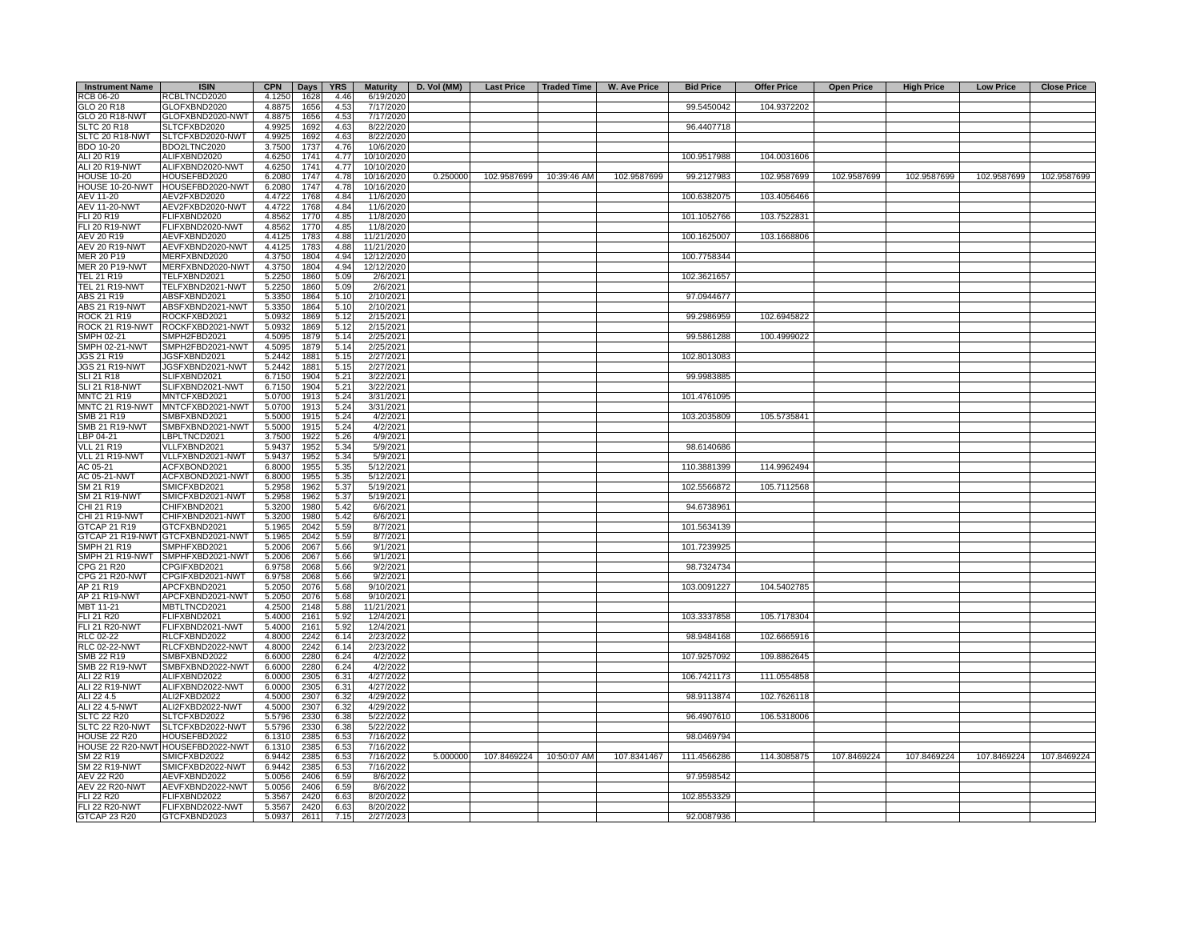| <b>Instrument Name</b>                     | <b>ISIN</b>                       | <b>CPN</b>       | Days         | <b>YRS</b>   |                          | Maturity   D. Vol (MM) |                         |             | Last Price   Traded Time   W. Ave Price | <b>Bid Price</b> | <b>Offer Price</b> | <b>Open Price</b> | <b>High Price</b> | <b>Low Price</b> | <b>Close Price</b> |
|--------------------------------------------|-----------------------------------|------------------|--------------|--------------|--------------------------|------------------------|-------------------------|-------------|-----------------------------------------|------------------|--------------------|-------------------|-------------------|------------------|--------------------|
| RCB 06-20                                  | RCBLTNCD2020                      | 4.1250           | 1628         | 4.46         | 6/19/2020                |                        |                         |             |                                         |                  |                    |                   |                   |                  |                    |
| GLO 20 R18                                 | GLOFXBND2020                      | 4.8875           | 1656         | 4.53         | 7/17/2020                |                        |                         |             |                                         | 99.5450042       | 104.9372202        |                   |                   |                  |                    |
| <b>GLO 20 R18-NWT</b>                      | GLOFXBND2020-NWT                  | 4.8875           | 1656         | 4.53         | 7/17/2020                |                        |                         |             |                                         |                  |                    |                   |                   |                  |                    |
| <b>SLTC 20 R18</b>                         | SLTCFXBD2020                      | 4.9925           | 1692         | 4.63         | 8/22/2020                |                        |                         |             |                                         | 96.4407718       |                    |                   |                   |                  |                    |
| SLTC 20 R18-NWT                            | SLTCFXBD2020-NWT                  | 4.9925           | 1692         | 4.63         | 8/22/2020                |                        |                         |             |                                         |                  |                    |                   |                   |                  |                    |
| <b>BDO 10-20</b>                           | BDO2LTNC2020                      | 3.7500           | 1737         | 4.76         | 10/6/2020                |                        |                         |             |                                         |                  |                    |                   |                   |                  |                    |
| ALI 20 R19<br><b>ALI 20 R19-NWT</b>        | ALIFXBND2020                      | 4.6250<br>4.6250 | 1741         | 4.77<br>4.77 | 10/10/2020<br>10/10/2020 |                        |                         |             |                                         | 100.9517988      | 104.0031606        |                   |                   |                  |                    |
| <b>HOUSE 10-20</b>                         | ALIFXBND2020-NWT<br>HOUSEFBD2020  | 6.2080           | 1741<br>1747 | 4.78         | 10/16/2020               | 0.250000               | 102.9587699             | 10:39:46 AM | 102.9587699                             | 99.2127983       | 102.9587699        | 102.9587699       | 102.9587699       | 102.9587699      | 102.9587699        |
| HOUSE 10-20-NWT                            | HOUSEFBD2020-NWT                  | 6.2080           | 1747         | 4.78         | 10/16/2020               |                        |                         |             |                                         |                  |                    |                   |                   |                  |                    |
| AEV 11-20                                  | AEV2FXBD2020                      | 4.4722           | 1768         | 4.84         | 11/6/2020                |                        |                         |             |                                         | 100.6382075      | 103.4056466        |                   |                   |                  |                    |
| <b>AEV 11-20-NWT</b>                       | AEV2FXBD2020-NWT                  | 4.4722           | 1768         | 4.84         | 11/6/2020                |                        |                         |             |                                         |                  |                    |                   |                   |                  |                    |
| FLI 20 R19                                 | FLIFXBND2020                      | 4.8562           | 1770         | 4.85         | 11/8/2020                |                        |                         |             |                                         | 101.1052766      | 103.7522831        |                   |                   |                  |                    |
| FLI 20 R19-NWT                             | FLIFXBND2020-NWT                  | 4.8562           | 1770         | 4.85         | 11/8/2020                |                        |                         |             |                                         |                  |                    |                   |                   |                  |                    |
| AEV 20 R19                                 | AEVFXBND2020                      | 4.4125           | 1783         | 4.88         | 11/21/2020               |                        |                         |             |                                         | 100.1625007      | 103.1668806        |                   |                   |                  |                    |
| AEV 20 R19-NWT                             | AEVFXBND2020-NWT                  | 4.4125           | 1783         | 4.88         | 11/21/2020               |                        |                         |             |                                         |                  |                    |                   |                   |                  |                    |
| <b>MER 20 P19</b>                          | MERFXBND2020                      | 4.3750           | 1804         | 4.94         | 12/12/2020               |                        |                         |             |                                         | 100.7758344      |                    |                   |                   |                  |                    |
| <b>MER 20 P19-NWT</b>                      | MERFXBND2020-NWT                  | 4.3750           | 1804         | 4.94         | 12/12/2020               |                        |                         |             |                                         |                  |                    |                   |                   |                  |                    |
| <b>TEL 21 R19</b>                          | TELFXBND2021                      | 5.2250           | 1860         | 5.09         | 2/6/2021                 |                        |                         |             |                                         | 102.3621657      |                    |                   |                   |                  |                    |
| TEL 21 R19-NWT                             | TELFXBND2021-NWT                  | 5.2250           | 1860         | 5.09         | 2/6/2021                 |                        |                         |             |                                         |                  |                    |                   |                   |                  |                    |
| ABS 21 R19                                 | ABSFXBND2021                      | 5.3350           | 1864         | 5.10         | 2/10/2021                |                        |                         |             |                                         | 97.0944677       |                    |                   |                   |                  |                    |
| ABS 21 R19-NWT                             | ABSFXBND2021-NWT                  | 5.3350           | 1864         | 5.10         | 2/10/2021                |                        |                         |             |                                         |                  |                    |                   |                   |                  |                    |
| <b>ROCK 21 R19</b>                         | ROCKFXBD2021                      | 5.0932<br>5.0932 | 1869         | 5.12<br>5.12 | 2/15/2021                |                        |                         |             |                                         | 99.2986959       | 102.6945822        |                   |                   |                  |                    |
| ROCK 21 R19-NWT<br>SMPH 02-21              | ROCKFXBD2021-NWT<br>SMPH2FBD2021  | 4.5095           | 1869<br>1879 | 5.14         | 2/15/2021<br>2/25/2021   |                        |                         |             |                                         | 99.5861288       | 100.4999022        |                   |                   |                  |                    |
| SMPH 02-21-NWT                             | SMPH2FBD2021-NWT                  | 4.5095           | 1879         | 5.14         | 2/25/2021                |                        |                         |             |                                         |                  |                    |                   |                   |                  |                    |
| JGS 21 R19                                 | JGSFXBND2021                      | 5.2442           | 1881         | 5.15         | 2/27/2021                |                        |                         |             |                                         | 102.8013083      |                    |                   |                   |                  |                    |
| JGS 21 R19-NWT                             | JGSFXBND2021-NWT                  | 5.2442           | 1881         | 5.15         | 2/27/2021                |                        |                         |             |                                         |                  |                    |                   |                   |                  |                    |
| <b>SLI 21 R18</b>                          | SLIFXBND2021                      | 6.7150           | 1904         | 5.21         | 3/22/2021                |                        |                         |             |                                         | 99.9983885       |                    |                   |                   |                  |                    |
| <b>SLI 21 R18-NWT</b>                      | SLIFXBND2021-NWT                  | 6.7150           | 1904         | 5.21         | 3/22/2021                |                        |                         |             |                                         |                  |                    |                   |                   |                  |                    |
| <b>MNTC 21 R19</b>                         | MNTCFXBD2021                      | 5.0700           | 1913         | 5.24         | 3/31/2021                |                        |                         |             |                                         | 101.4761095      |                    |                   |                   |                  |                    |
| MNTC 21 R19-NWT                            | MNTCFXBD2021-NWT                  | 5.0700           | 1913         | 5.24         | 3/31/2021                |                        |                         |             |                                         |                  |                    |                   |                   |                  |                    |
| SMB 21 R19                                 | SMBFXBND2021                      | 5.5000           | 1915         | 5.24         | 4/2/2021                 |                        |                         |             |                                         | 103.2035809      | 105.5735841        |                   |                   |                  |                    |
| <b>SMB 21 R19-NWT</b>                      | SMBFXBND2021-NWT                  | 5.5000           | 1915         | 5.24         | 4/2/2021                 |                        |                         |             |                                         |                  |                    |                   |                   |                  |                    |
| LBP 04-21                                  | LBPLTNCD2021                      | 3.7500           | 1922         | 5.26         | 4/9/2021                 |                        |                         |             |                                         |                  |                    |                   |                   |                  |                    |
| <b>VLL 21 R19</b>                          | VLLFXBND2021                      | 5.9437           | 1952         | 5.34         | 5/9/2021                 |                        |                         |             |                                         | 98.6140686       |                    |                   |                   |                  |                    |
| VLL 21 R19-NWT                             | VLLFXBND2021-NWT                  | 5.9437           | 1952         | 5.34         | 5/9/2021                 |                        |                         |             |                                         |                  |                    |                   |                   |                  |                    |
| AC 05-21                                   | ACFXBOND2021                      | 6.8000           | 1955         | 5.35         | 5/12/2021                |                        |                         |             |                                         | 110.3881399      | 114.9962494        |                   |                   |                  |                    |
| AC 05-21-NWT                               | ACFXBOND2021-NWT                  | 6.8000           | 1955         | 5.35         | 5/12/2021                |                        |                         |             |                                         |                  |                    |                   |                   |                  |                    |
| SM 21 R19<br><b>SM 21 R19-NWT</b>          | SMICFXBD2021<br>SMICFXBD2021-NWT  | 5.2958           | 1962<br>1962 | 5.37<br>5.37 | 5/19/2021<br>5/19/2021   |                        |                         |             |                                         | 102.5566872      | 105.7112568        |                   |                   |                  |                    |
| CHI 21 R19                                 | CHIFXBND2021                      | 5.2958<br>5.3200 | 1980         | 5.42         | 6/6/2021                 |                        |                         |             |                                         | 94.6738961       |                    |                   |                   |                  |                    |
| CHI 21 R19-NWT                             | CHIFXBND2021-NWT                  | 5.3200           | 1980         | 5.42         | 6/6/2021                 |                        |                         |             |                                         |                  |                    |                   |                   |                  |                    |
| GTCAP 21 R19                               | GTCFXBND2021                      | 5.1965           | 2042         | 5.59         | 8/7/2021                 |                        |                         |             |                                         | 101.5634139      |                    |                   |                   |                  |                    |
|                                            | GTCAP 21 R19-NWT GTCFXBND2021-NWT | 5.1965           | 2042         | 5.59         | 8/7/2021                 |                        |                         |             |                                         |                  |                    |                   |                   |                  |                    |
| <b>SMPH 21 R19</b>                         | SMPHFXBD2021                      | 5.2006           | 2067         | 5.66         | 9/1/2021                 |                        |                         |             |                                         | 101.7239925      |                    |                   |                   |                  |                    |
|                                            | SMPH 21 R19-NWT SMPHFXBD2021-NWT  | 5.2006           | 2067         | 5.66         | 9/1/2021                 |                        |                         |             |                                         |                  |                    |                   |                   |                  |                    |
| CPG 21 R20                                 | CPGIFXBD2021                      | 6.9758           | 2068         | 5.66         | 9/2/2021                 |                        |                         |             |                                         | 98.7324734       |                    |                   |                   |                  |                    |
| CPG 21 R20-NWT                             | CPGIFXBD2021-NWT                  | 6.9758           | 2068         | 5.66         | 9/2/2021                 |                        |                         |             |                                         |                  |                    |                   |                   |                  |                    |
| AP 21 R19                                  | APCFXBND2021                      | 5.2050           | 2076         | 5.68         | 9/10/2021                |                        |                         |             |                                         | 103.0091227      | 104.5402785        |                   |                   |                  |                    |
| AP 21 R19-NWT                              | APCFXBND2021-NWT                  | 5.2050           | 2076         | 5.68         | 9/10/2021                |                        |                         |             |                                         |                  |                    |                   |                   |                  |                    |
| MBT 11-21                                  | MBTLTNCD2021                      | 4.2500           | 2148         | 5.88         | 11/21/2021               |                        |                         |             |                                         |                  |                    |                   |                   |                  |                    |
| <b>FLI 21 R20</b>                          | FLIFXBND2021                      | 5.4000           | 2161         | 5.92         | 12/4/2021                |                        |                         |             |                                         | 103.3337858      | 105.7178304        |                   |                   |                  |                    |
| <b>FLI 21 R20-NWT</b><br>RLC 02-22         | FLIFXBND2021-NWT<br>RLCFXBND2022  | 5.4000<br>4.8000 | 2161<br>2242 | 5.92<br>6.14 | 12/4/2021<br>2/23/2022   |                        |                         |             |                                         | 98.9484168       | 102.6665916        |                   |                   |                  |                    |
| <b>RLC 02-22-NWT</b>                       | RLCFXBND2022-NWT                  | 4.8000           | 2242         | 6.14         | 2/23/2022                |                        |                         |             |                                         |                  |                    |                   |                   |                  |                    |
| SMB 22 R19                                 | SMBFXBND2022                      | 6.6000           | 2280         | 6.24         | 4/2/2022                 |                        |                         |             |                                         | 107.9257092      | 109.8862645        |                   |                   |                  |                    |
| <b>SMB 22 R19-NWT</b>                      | SMBFXBND2022-NWT                  | 6.6000           | 2280         | 6.24         | 4/2/2022                 |                        |                         |             |                                         |                  |                    |                   |                   |                  |                    |
| ALI 22 R19                                 | ALIFXBND2022                      | 6.0000           | 2305         | 6.31         | 4/27/2022                |                        |                         |             |                                         | 106.7421173      | 111.0554858        |                   |                   |                  |                    |
| <b>ALI 22 R19-NWT</b>                      | ALIFXBND2022-NWT                  | 6.0000           | 2305         | 6.31         | 4/27/2022                |                        |                         |             |                                         |                  |                    |                   |                   |                  |                    |
| ALI 22 4.5                                 | ALI2FXBD2022                      | 4.5000           | 2307         | 6.32         | 4/29/2022                |                        |                         |             |                                         | 98.9113874       | 102.7626118        |                   |                   |                  |                    |
| <b>ALI 22 4.5-NWT</b>                      | ALI2FXBD2022-NWT                  | 4.5000           | 2307         | 6.32         | 4/29/2022                |                        |                         |             |                                         |                  |                    |                   |                   |                  |                    |
| <b>SLTC 22 R20</b>                         | SLTCFXBD2022                      | 5.5796           | 2330         | 6.38         | 5/22/2022                |                        |                         |             |                                         | 96.4907610       | 106.5318006        |                   |                   |                  |                    |
| SLTC 22 R20-NWT                            | SLTCFXBD2022-NWT                  | 5.5796           | 2330         | 6.38         | 5/22/2022                |                        |                         |             |                                         |                  |                    |                   |                   |                  |                    |
| <b>HOUSE 22 R20</b>                        | HOUSEFBD2022                      | 6.1310           | 2385         | 6.53         | 7/16/2022                |                        |                         |             |                                         | 98.0469794       |                    |                   |                   |                  |                    |
|                                            | HOUSE 22 R20-NWT HOUSEFBD2022-NWT | 6.1310           | 2385         | 6.53         | 7/16/2022                |                        |                         |             |                                         |                  |                    |                   |                   |                  |                    |
| SM 22 R19                                  | SMICFXBD2022                      | 6.9442           | 2385         | 6.53         | 7/16/2022                | 5.000000               | 107.8469224 10:50:07 AM |             | 107.8341467                             | 111.4566286      | 114.3085875        | 107.8469224       | 107.8469224       | 107.8469224      | 107.8469224        |
| <b>SM 22 R19-NWT</b>                       | SMICFXBD2022-NWT                  | 6.9442           | 2385         | 6.53         | 7/16/2022                |                        |                         |             |                                         |                  |                    |                   |                   |                  |                    |
| AEV 22 R20                                 | AEVFXBND2022                      | 5.0056           | 2406         | 6.59         | 8/6/2022                 |                        |                         |             |                                         | 97.9598542       |                    |                   |                   |                  |                    |
| <b>AEV 22 R20-NWT</b>                      | AEVFXBND2022-NWT                  | 5.0056           | 2406         | 6.59         | 8/6/2022                 |                        |                         |             |                                         | 102.8553329      |                    |                   |                   |                  |                    |
| <b>FLI 22 R20</b><br><b>FLI 22 R20-NWT</b> | FLIFXBND2022<br>FLIFXBND2022-NWT  | 5.3567<br>5.3567 | 2420<br>2420 | 6.63<br>6.63 | 8/20/2022<br>8/20/2022   |                        |                         |             |                                         |                  |                    |                   |                   |                  |                    |
| GTCAP 23 R20                               | GTCFXBND2023                      | 5.0937           | 2611         | 7.15         | 2/27/2023                |                        |                         |             |                                         | 92.0087936       |                    |                   |                   |                  |                    |
|                                            |                                   |                  |              |              |                          |                        |                         |             |                                         |                  |                    |                   |                   |                  |                    |